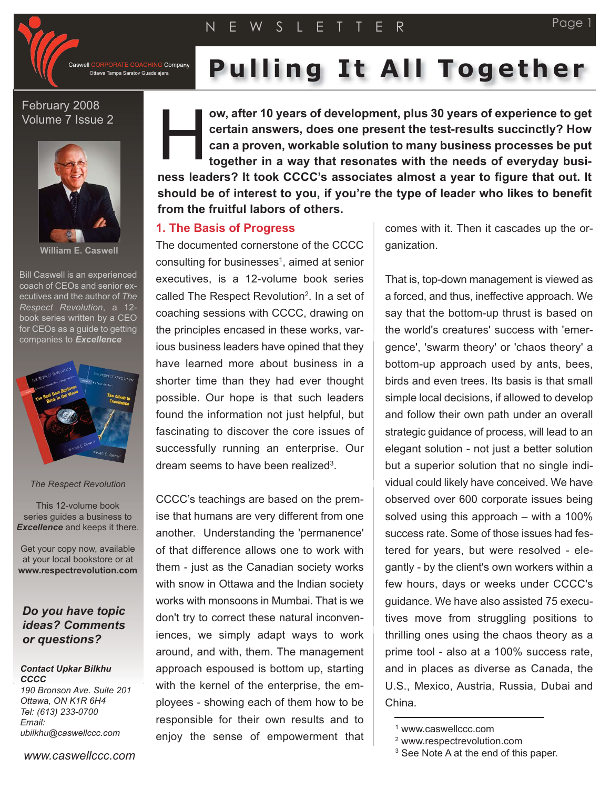

**IG** Company Ottawa Tampa Saratov Guadalajara

# **Pulling It All Together**

## February 2008 Volume 7 Issue 2



**William E. Caswell**

Bill Caswell is an experienced coach of CEOs and senior executives and the author of *The Respect Revolution*, a 12 book series written by a CEO for CEOs as a guide to getting companies to *Excellence*



#### *The Respect Revolution*

This 12-volume book series guides a business to *Excellence* and keeps it there.

Get your copy now, available at your local bookstore or at **www.respectrevolution.com**

## *Do you have topic ideas? Comments or questions?*

#### *Contact Upkar Bilkhu CCCC 190 Bronson Ave. Suite 201*

*Ottawa, ON K1R 6H4 Tel: (613) 233-0700 Email: ubilkhu@caswellccc.com*

**ow, after 10 years of development, plus 30 years of experience to get certain answers, does one present the test-results succinctly? How can a proven, workable solution to many business processes be put together in a way that resonates with the needs of everyday business leaders? It took CCCC's associates almost a year to figure that out. It should be of interest to you, if you're the type of leader who likes to benefit from the fruitful labors of others.** H

### **1. The Basis of Progress**

The documented cornerstone of the CCCC consulting for businesses<sup>1</sup>, aimed at senior executives, is a 12-volume book series called The Respect Revolution<sup>2</sup>. In a set of coaching sessions with CCCC, drawing on the principles encased in these works, various business leaders have opined that they have learned more about business in a shorter time than they had ever thought possible. Our hope is that such leaders found the information not just helpful, but fascinating to discover the core issues of successfully running an enterprise. Our dream seems to have been realized<sup>3</sup>.

CCCC's teachings are based on the premise that humans are very different from one another. Understanding the 'permanence' of that difference allows one to work with them - just as the Canadian society works with snow in Ottawa and the Indian society works with monsoons in Mumbai. That is we don't try to correct these natural inconveniences, we simply adapt ways to work around, and with, them. The management approach espoused is bottom up, starting with the kernel of the enterprise, the employees - showing each of them how to be responsible for their own results and to enjoy the sense of empowerment that comes with it. Then it cascades up the organization.

Page 1

That is, top-down management is viewed as a forced, and thus, ineffective approach. We say that the bottom-up thrust is based on the world's creatures' success with 'emergence', 'swarm theory' or 'chaos theory' a bottom-up approach used by ants, bees, birds and even trees. Its basis is that small simple local decisions, if allowed to develop and follow their own path under an overall strategic guidance of process, will lead to an elegant solution - not just a better solution but a superior solution that no single individual could likely have conceived. We have observed over 600 corporate issues being solved using this approach – with a 100% success rate. Some of those issues had festered for years, but were resolved - elegantly - by the client's own workers within a few hours, days or weeks under CCCC's guidance. We have also assisted 75 executives move from struggling positions to thrilling ones using the chaos theory as a prime tool - also at a 100% success rate, and in places as diverse as Canada, the U.S., Mexico, Austria, Russia, Dubai and China.

<sup>1</sup> www.caswellccc.com

<sup>2</sup> www.respectrevolution.com

<sup>&</sup>lt;sup>3</sup> See Note A at the end of this paper.